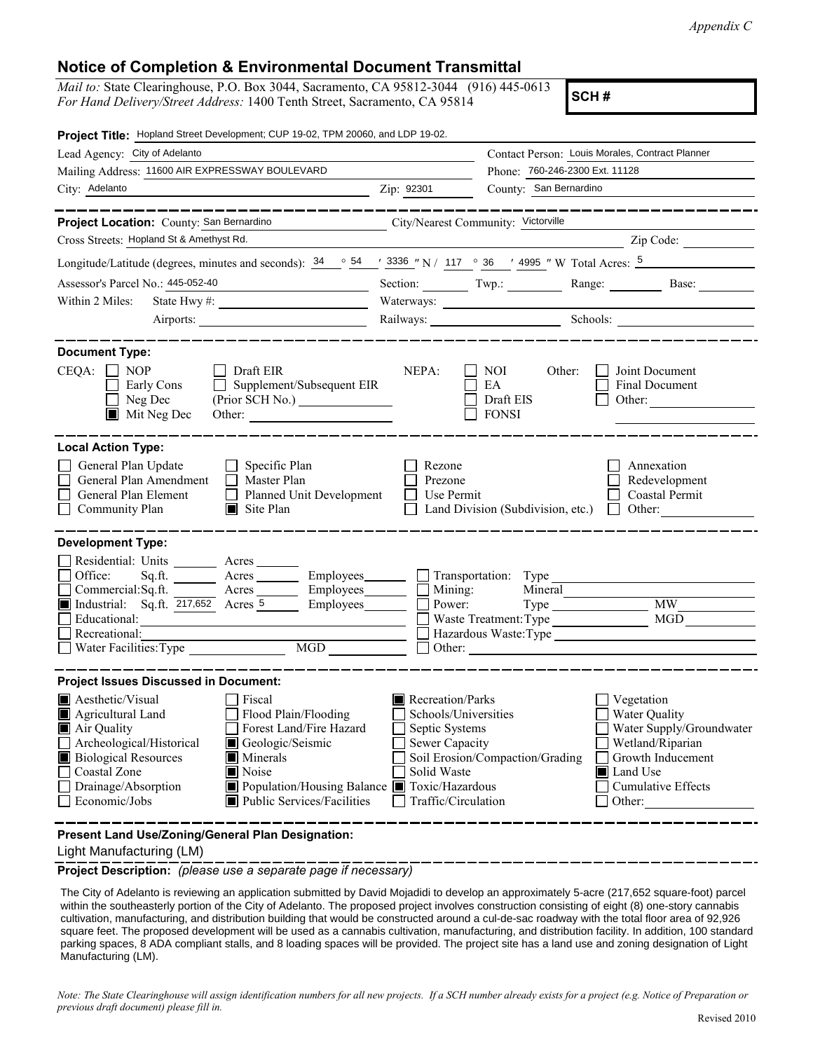## **Notice of Completion & Environmental Document Transmittal**

*Mail to:* State Clearinghouse, P.O. Box 3044, Sacramento, CA 95812-3044 (916) 445-0613 *For Hand Delivery/Street Address:* 1400 Tenth Street, Sacramento, CA 95814

**SCH #**

| Project Title: Hopland Street Development; CUP 19-02, TPM 20060, and LDP 19-02.                                                                                                                                                                             |                                                                                                                                                                                               |                                                                                                                    |                                                  |                                                                                                                                                     |
|-------------------------------------------------------------------------------------------------------------------------------------------------------------------------------------------------------------------------------------------------------------|-----------------------------------------------------------------------------------------------------------------------------------------------------------------------------------------------|--------------------------------------------------------------------------------------------------------------------|--------------------------------------------------|-----------------------------------------------------------------------------------------------------------------------------------------------------|
| Lead Agency: City of Adelanto                                                                                                                                                                                                                               |                                                                                                                                                                                               |                                                                                                                    |                                                  | Contact Person: Louis Morales, Contract Planner                                                                                                     |
| Mailing Address: 11600 AIR EXPRESSWAY BOULEVARD                                                                                                                                                                                                             |                                                                                                                                                                                               |                                                                                                                    | Phone: 760-246-2300 Ext. 11128                   |                                                                                                                                                     |
| City: Adelanto                                                                                                                                                                                                                                              |                                                                                                                                                                                               | Zip: 92301                                                                                                         | County: San Bernardino                           |                                                                                                                                                     |
| Project Location: County: San Bernardino                                                                                                                                                                                                                    |                                                                                                                                                                                               | City/Nearest Community: Victorville                                                                                |                                                  |                                                                                                                                                     |
| Cross Streets: Hopland St & Amethyst Rd.                                                                                                                                                                                                                    |                                                                                                                                                                                               |                                                                                                                    |                                                  | Zip Code:                                                                                                                                           |
| Longitude/Latitude (degrees, minutes and seconds): $\frac{34}{9}$ $\frac{64}{9}$ $\frac{1}{2}$ $\frac{3336}{9}$ $\frac{1}{2}$ N / 117 $\degree$ 36 $\degree$ 4995 $\degree$ W Total Acres: $\frac{5}{9}$                                                    |                                                                                                                                                                                               |                                                                                                                    |                                                  |                                                                                                                                                     |
| Assessor's Parcel No.: 445-052-40                                                                                                                                                                                                                           | <u> 1990 - Johann Barbara, martin a</u>                                                                                                                                                       |                                                                                                                    |                                                  | Section: Twp.: Range: Base:                                                                                                                         |
| Within 2 Miles:                                                                                                                                                                                                                                             |                                                                                                                                                                                               |                                                                                                                    |                                                  |                                                                                                                                                     |
|                                                                                                                                                                                                                                                             | Airports:                                                                                                                                                                                     |                                                                                                                    |                                                  | Railways: Schools: Schools:                                                                                                                         |
| <b>Document Type:</b><br>$CEQA: \Box NOP$<br>Early Cons<br>Neg Dec<br>Mit Neg Dec                                                                                                                                                                           | $\Box$ Draft EIR<br>Supplement/Subsequent EIR                                                                                                                                                 | NEPA:                                                                                                              | NOI<br>Other:<br>EA<br>Draft EIS<br><b>FONSI</b> | Joint Document<br>Final Document<br>Other: $\qquad \qquad$                                                                                          |
| <b>Local Action Type:</b><br>General Plan Update<br>General Plan Amendment<br>General Plan Element<br>Community Plan                                                                                                                                        | $\Box$ Specific Plan<br>$\Box$ Master Plan<br>Planned Unit Development<br>$\perp$<br>$\Box$ Site Plan                                                                                         | Rezone<br>Prezone<br>Use Permit                                                                                    | Land Division (Subdivision, etc.)                | Annexation<br>Redevelopment<br>Coastal Permit<br>$\Box$ Other:                                                                                      |
| <b>Development Type:</b>                                                                                                                                                                                                                                    |                                                                                                                                                                                               |                                                                                                                    |                                                  |                                                                                                                                                     |
| Residential: Units ________ Acres _______<br>Office:<br>Sq.ft.<br>Commercial:Sq.ft. _______ Acres ________ Employees _______ □ Mining:<br><b>Industrial:</b> Sq.ft. $\overline{217,652}$ Acres 5<br>Educational:<br>Recreational:<br>Water Facilities: Type | Acres _________ Employees ________ __ Transportation: Type<br>Employees  <br>MGD NG                                                                                                           | Power:                                                                                                             | Waste Treatment: Type                            | Type MW<br>MGD<br>Hazardous Waste:Type<br>Other:                                                                                                    |
| <b>Project Issues Discussed in Document:</b>                                                                                                                                                                                                                |                                                                                                                                                                                               |                                                                                                                    |                                                  |                                                                                                                                                     |
| Aesthetic/Visual<br>Agricultural Land<br>Air Quality<br>Archeological/Historical<br><b>Biological Resources</b><br>Coastal Zone<br>Drainage/Absorption<br>Economic/Jobs                                                                                     | Fiscal<br>Flood Plain/Flooding<br>Forest Land/Fire Hazard<br>Geologic/Seismic<br>$\blacksquare$ Minerals<br>Noise<br>Population/Housing Balance Toxic/Hazardous<br>Public Services/Facilities | Recreation/Parks<br>Schools/Universities<br>Septic Systems<br>Sewer Capacity<br>Solid Waste<br>Traffic/Circulation | Soil Erosion/Compaction/Grading                  | Vegetation<br>Water Quality<br>Water Supply/Groundwater<br>Wetland/Riparian<br>Growth Inducement<br>Land Use<br><b>Cumulative Effects</b><br>Other: |
| Present Land Use/Zoning/General Plan Designation:                                                                                                                                                                                                           |                                                                                                                                                                                               |                                                                                                                    |                                                  |                                                                                                                                                     |

Light Manufacturing (LM)

**Project Description:** *(please use a separate page if necessary)*

 The City of Adelanto is reviewing an application submitted by David Mojadidi to develop an approximately 5-acre (217,652 square-foot) parcel within the southeasterly portion of the City of Adelanto. The proposed project involves construction consisting of eight (8) one-story cannabis cultivation, manufacturing, and distribution building that would be constructed around a cul-de-sac roadway with the total floor area of 92,926 square feet. The proposed development will be used as a cannabis cultivation, manufacturing, and distribution facility. In addition, 100 standard parking spaces, 8 ADA compliant stalls, and 8 loading spaces will be provided. The project site has a land use and zoning designation of Light Manufacturing (LM).

*Note: The State Clearinghouse will assign identification numbers for all new projects. If a SCH number already exists for a project (e.g. Notice of Preparation or previous draft document) please fill in.*